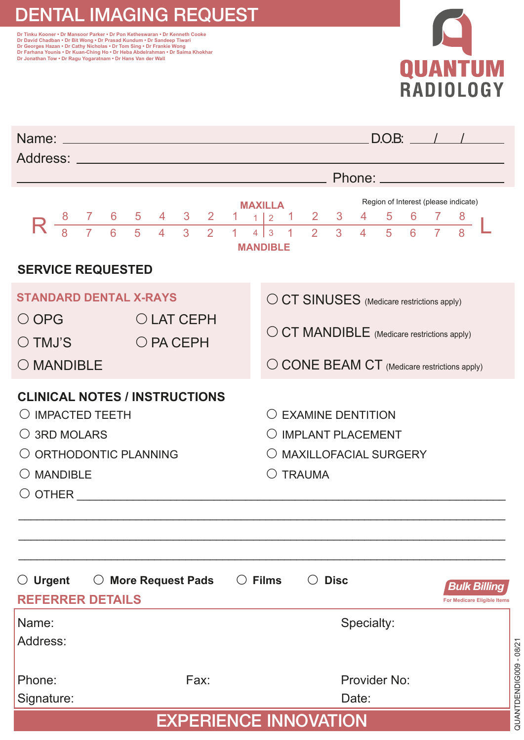## DENTAL IMAGING REQUEST

ור וואנו אססופר - טר Mansoor Parker - טר Pon Ketheswaran - טר Kenneth Cooke<br>Dr David Chadban - Dr Bit Wong - Dr Prasad Kundum - Dr Sandeep Tiwari<br>Dr Georges Hazan - Dr Cathy Nicholas - Dr Tom Sing - Dr Frankie Wong<br>Dr Far **Dr Jonathan Tow • Dr Ragu Yogaratnam • Dr Hans Van der Wall**



| Name: <u>experimental and a series of the series of the series of the series of the series of the series of the series of the series of the series of the series of the series of the series of the series of the series of the </u><br>Address: Andreas Address Address Andreas Address Address Address Address Address Address Address Address Address A |                                                                                                               |                                                                                                                                           |                                                                            |                               |                    |                                      |                      |        | $D.O.B:$ / / |  |                                             |  |  |
|------------------------------------------------------------------------------------------------------------------------------------------------------------------------------------------------------------------------------------------------------------------------------------------------------------------------------------------------------------|---------------------------------------------------------------------------------------------------------------|-------------------------------------------------------------------------------------------------------------------------------------------|----------------------------------------------------------------------------|-------------------------------|--------------------|--------------------------------------|----------------------|--------|--------------|--|---------------------------------------------|--|--|
|                                                                                                                                                                                                                                                                                                                                                            |                                                                                                               | <u>_____</u> Phone: __________                                                                                                            |                                                                            |                               |                    |                                      |                      |        |              |  |                                             |  |  |
|                                                                                                                                                                                                                                                                                                                                                            | <b>MAXILLA</b>                                                                                                |                                                                                                                                           |                                                                            |                               |                    | Region of Interest (please indicate) |                      |        |              |  |                                             |  |  |
| $R\frac{8}{8}$<br>$\frac{1}{7}$                                                                                                                                                                                                                                                                                                                            | $\begin{array}{c cc}\n6 & 5 \\ \hline\n6 & 5\n\end{array}$<br>3 <sup>7</sup><br>$\overline{A}$<br>$3 \quad 2$ | $\mathbf{2}^{\prime}$<br>1.<br>$\mathbf{1}$                                                                                               | 1.<br>$1\vert 2$<br>$\overline{4}$<br>3<br>$\mathbf{1}$<br><b>MANDIBLE</b> | $\overline{2}$<br>$2^{\circ}$ | 3<br>$\mathcal{S}$ | 4<br>$\overline{4}$                  | 5.<br>5 <sup>1</sup> | 6<br>6 |              |  |                                             |  |  |
| <b>SERVICE REQUESTED</b>                                                                                                                                                                                                                                                                                                                                   |                                                                                                               |                                                                                                                                           |                                                                            |                               |                    |                                      |                      |        |              |  |                                             |  |  |
| <b>STANDARD DENTAL X-RAYS</b><br>$\bigcirc$ OPG<br>$\bigcirc$ TMJ'S<br>O MANDIBLE                                                                                                                                                                                                                                                                          |                                                                                                               | O CT SINUSES (Medicare restrictions apply)<br>O CT MANDIBLE (Medicare restrictions apply)<br>O CONE BEAM CT (Medicare restrictions apply) |                                                                            |                               |                    |                                      |                      |        |              |  |                                             |  |  |
| <b>CLINICAL NOTES / INSTRUCTIONS</b><br>$\bigcirc$ IMPACTED TEETH<br>$\bigcirc$ 3RD MOLARS<br>O ORTHODONTIC PLANNING<br>$\bigcirc$ mandible                                                                                                                                                                                                                |                                                                                                               | $\bigcirc$ FXAMINE DENTITION<br>O IMPLANT PLACEMENT<br>O MAXILLOFACIAL SURGERY<br>$\bigcirc$ TRAUMA                                       |                                                                            |                               |                    |                                      |                      |        |              |  |                                             |  |  |
| $\bigcirc$ Urgent<br><b>REFERRER DETAILS</b>                                                                                                                                                                                                                                                                                                               | $\bigcirc$ More Request Pads                                                                                  |                                                                                                                                           | $\circ$ Films                                                              |                               | $\bigcirc$ Disc    |                                      |                      |        |              |  | Bulk Billina<br>For Medicare Eligible Items |  |  |
| Name:<br>Address:                                                                                                                                                                                                                                                                                                                                          |                                                                                                               |                                                                                                                                           |                                                                            |                               |                    | Specialty:                           |                      |        |              |  |                                             |  |  |
| Phone:<br>Signature:                                                                                                                                                                                                                                                                                                                                       | Fax:                                                                                                          |                                                                                                                                           |                                                                            |                               |                    | Provider No:<br>Date:                |                      |        |              |  |                                             |  |  |
| <b>EXPERIENCE INNOVATION</b>                                                                                                                                                                                                                                                                                                                               |                                                                                                               |                                                                                                                                           |                                                                            |                               |                    |                                      |                      |        |              |  |                                             |  |  |